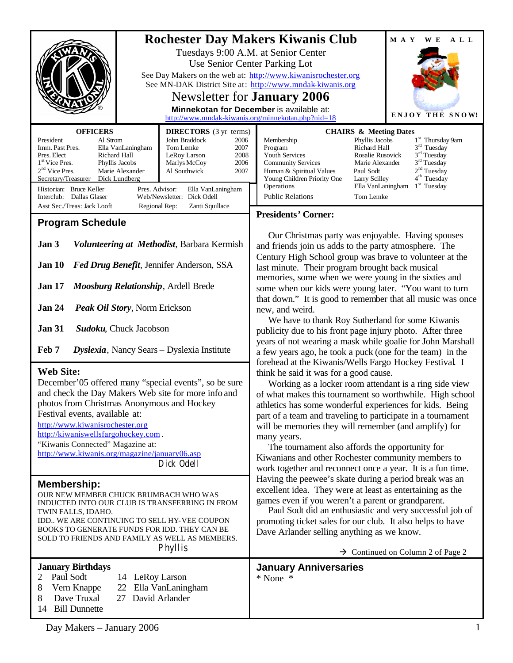|                                                                                                                                                                                    | <b>Rochester Day Makers Kiwanis Club</b> |                                                     |                                                                                                                                                                                                                                                                                                                  |                                                 | M A Y<br>W E                                                   | A L L |  |
|------------------------------------------------------------------------------------------------------------------------------------------------------------------------------------|------------------------------------------|-----------------------------------------------------|------------------------------------------------------------------------------------------------------------------------------------------------------------------------------------------------------------------------------------------------------------------------------------------------------------------|-------------------------------------------------|----------------------------------------------------------------|-------|--|
|                                                                                                                                                                                    |                                          |                                                     | Tuesdays 9:00 A.M. at Senior Center<br>Use Senior Center Parking Lot                                                                                                                                                                                                                                             |                                                 |                                                                |       |  |
|                                                                                                                                                                                    |                                          |                                                     | See Day Makers on the web at: http://www.kiwanisrochester.org<br>See MN-DAK District Site at: http://www.mndak-kiwanis.org                                                                                                                                                                                       |                                                 |                                                                |       |  |
|                                                                                                                                                                                    |                                          |                                                     | Newsletter for <b>January</b> 2006                                                                                                                                                                                                                                                                               |                                                 |                                                                |       |  |
|                                                                                                                                                                                    |                                          |                                                     | Minnekotan for December is available at:<br>http://www.mndak-kiwanis.org/minnekotan.php?nid=18                                                                                                                                                                                                                   |                                                 | <b>ENJOY THE SNOW!</b>                                         |       |  |
| <b>OFFICERS</b>                                                                                                                                                                    |                                          | <b>DIRECTORS</b> (3 yr terms)                       |                                                                                                                                                                                                                                                                                                                  | <b>CHAIRS &amp; Meeting Dates</b>               |                                                                |       |  |
| President<br>Al Strom<br>Imm. Past Pres.                                                                                                                                           | Ella VanLaningham                        | John Braddock<br>2006<br>Tom Lemke<br>2007          | Membership<br>Program                                                                                                                                                                                                                                                                                            | Phyllis Jacobs<br>Richard Hall                  | 1 <sup>st</sup> Thursday 9am<br>$3rd$ Tuesday<br>$3rd$ Tuesday |       |  |
| Pres. Elect<br>Richard Hall<br>1 <sup>st</sup> Vice Pres.<br>Phyllis Jacobs                                                                                                        |                                          | LeRoy Larson<br>2008<br>Marlys McCoy<br>2006        | Youth Services<br><b>Community Services</b>                                                                                                                                                                                                                                                                      | Rosalie Rusovick<br>Marie Alexander             | 3 <sup>rd</sup> Tuesday                                        |       |  |
| 2 <sup>nd</sup> Vice Pres.<br>Marie Alexander<br>Al Southwick<br>2007<br>Secretary/Treasurer Dick Lundberg                                                                         |                                          |                                                     | 2 <sup>nd</sup> Tuesday<br>Paul Sodt<br>Human & Spiritual Values<br>4 <sup>th</sup> Tuesday<br>Young Children Priority One<br>Larry Scilley                                                                                                                                                                      |                                                 |                                                                |       |  |
| Historian: Bruce Keller<br>Pres. Advisor:<br>Ella VanLaningham<br>Interclub: Dallas Glaser<br>Web/Newsletter: Dick Odell                                                           |                                          |                                                     | Operations<br><b>Public Relations</b>                                                                                                                                                                                                                                                                            | Ella VanLaningham<br>$1st$ Tuesday<br>Tom Lemke |                                                                |       |  |
| Asst Sec./Treas: Jack Looft<br>Regional Rep:                                                                                                                                       |                                          | Zanti Squillace                                     | <b>Presidents' Corner:</b>                                                                                                                                                                                                                                                                                       |                                                 |                                                                |       |  |
| <b>Program Schedule</b>                                                                                                                                                            |                                          |                                                     |                                                                                                                                                                                                                                                                                                                  |                                                 |                                                                |       |  |
| Jan 3<br>Volunteering at Methodist, Barbara Kermish                                                                                                                                |                                          |                                                     | Our Christmas party was enjoyable. Having spouses<br>and friends join us adds to the party atmosphere. The                                                                                                                                                                                                       |                                                 |                                                                |       |  |
| Jan 10                                                                                                                                                                             |                                          | Fed Drug Benefit, Jennifer Anderson, SSA            | Century High School group was brave to volunteer at the<br>last minute. Their program brought back musical                                                                                                                                                                                                       |                                                 |                                                                |       |  |
| Moosburg Relationship, Ardell Brede<br><b>Jan 17</b>                                                                                                                               |                                          |                                                     | memories, some when we were young in the sixties and<br>some when our kids were young later. "You want to turn<br>that down." It is good to remember that all music was once<br>new, and weird.<br>We have to thank Roy Sutherland for some Kiwanis<br>publicity due to his front page injury photo. After three |                                                 |                                                                |       |  |
| <b>Jan 24</b><br><b>Peak Oil Story, Norm Erickson</b>                                                                                                                              |                                          |                                                     |                                                                                                                                                                                                                                                                                                                  |                                                 |                                                                |       |  |
| <b>Jan 31</b><br>Sudoku, Chuck Jacobson                                                                                                                                            |                                          |                                                     |                                                                                                                                                                                                                                                                                                                  |                                                 |                                                                |       |  |
| Feb 7<br>Dyslexia, Nancy Sears - Dyslexia Institute                                                                                                                                |                                          |                                                     | years of not wearing a mask while goalie for John Marshall                                                                                                                                                                                                                                                       |                                                 |                                                                |       |  |
|                                                                                                                                                                                    |                                          |                                                     | a few years ago, he took a puck (one for the team) in the<br>forehead at the Kiwanis/Wells Fargo Hockey Festival I<br>think he said it was for a good cause.                                                                                                                                                     |                                                 |                                                                |       |  |
| <b>Web Site:</b><br>December'05 offered many "special events", so be sure                                                                                                          |                                          |                                                     |                                                                                                                                                                                                                                                                                                                  |                                                 |                                                                |       |  |
|                                                                                                                                                                                    |                                          | and check the Day Makers Web site for more info and | Working as a locker room attendant is a ring side view<br>of what makes this tournament so worthwhile. High school                                                                                                                                                                                               |                                                 |                                                                |       |  |
| photos from Christmas Anonymous and Hockey                                                                                                                                         |                                          |                                                     | athletics has some wonderful experiences for kids. Being                                                                                                                                                                                                                                                         |                                                 |                                                                |       |  |
| Festival events, available at:<br>http://www.kiwanisrochester.org                                                                                                                  |                                          |                                                     | part of a team and traveling to participate in a tournament                                                                                                                                                                                                                                                      |                                                 |                                                                |       |  |
| http://kiwaniswellsfargohockey.com.                                                                                                                                                |                                          |                                                     | will be memories they will remember (and amplify) for<br>many years.<br>The tournament also affords the opportunity for<br>Kiwanians and other Rochester community members to<br>work together and reconnect once a year. It is a fun time.                                                                      |                                                 |                                                                |       |  |
| "Kiwanis Connected" Magazine at:<br>http://www.kiwanis.org/magazine/january06.asp                                                                                                  |                                          |                                                     |                                                                                                                                                                                                                                                                                                                  |                                                 |                                                                |       |  |
|                                                                                                                                                                                    |                                          | Dick Odell                                          |                                                                                                                                                                                                                                                                                                                  |                                                 |                                                                |       |  |
| <b>Membership:</b><br>OUR NEW MEMBER CHUCK BRUMBACH WHO WAS<br>INDUCTED INTO OUR CLUB IS TRANSFERRING IN FROM<br>TWIN FALLS, IDAHO.<br>IDD WE ARE CONTINUING TO SELL HY-VEE COUPON |                                          |                                                     | Having the peewee's skate during a period break was an<br>excellent idea. They were at least as entertaining as the                                                                                                                                                                                              |                                                 |                                                                |       |  |
|                                                                                                                                                                                    |                                          |                                                     | games even if you weren't a parent or grandparent.<br>Paul Sodt did an enthusiastic and very successful job of<br>promoting ticket sales for our club. It also helps to have                                                                                                                                     |                                                 |                                                                |       |  |
|                                                                                                                                                                                    |                                          |                                                     |                                                                                                                                                                                                                                                                                                                  |                                                 |                                                                |       |  |
|                                                                                                                                                                                    |                                          | Phyllis                                             | $\rightarrow$ Continued on Column 2 of Page 2                                                                                                                                                                                                                                                                    |                                                 |                                                                |       |  |
| <b>January Birthdays</b>                                                                                                                                                           |                                          |                                                     | <b>January Anniversaries</b>                                                                                                                                                                                                                                                                                     |                                                 |                                                                |       |  |
| Paul Sodt<br>2<br>8<br>Vern Knappe                                                                                                                                                 | 14 LeRoy Larson<br>22                    | Ella VanLaningham                                   | * None *                                                                                                                                                                                                                                                                                                         |                                                 |                                                                |       |  |
| Dave Truxal<br>8                                                                                                                                                                   | 27                                       | David Arlander                                      |                                                                                                                                                                                                                                                                                                                  |                                                 |                                                                |       |  |
| <b>Bill Dunnette</b><br>14                                                                                                                                                         |                                          |                                                     |                                                                                                                                                                                                                                                                                                                  |                                                 |                                                                |       |  |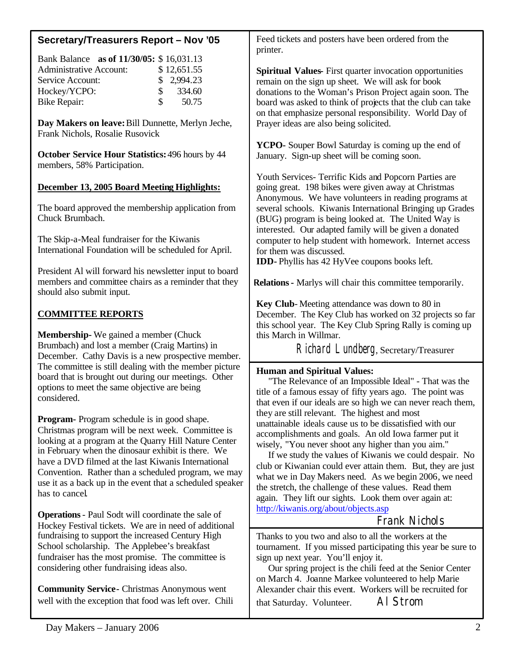# **Secretary/Treasurers Report – Nov '05**

|                                | Bank Balance as of 11/30/05: \$16,031.13 |               |             |
|--------------------------------|------------------------------------------|---------------|-------------|
| <b>Administrative Account:</b> |                                          |               | \$12,651.55 |
| Service Account:               |                                          | \$2,994.23    |             |
| Hockey/YCPO:                   |                                          | $\mathcal{S}$ | 334.60      |
| Bike Repair:                   |                                          | S.            | 50.75       |

**Day Makers on leave:** Bill Dunnette, Merlyn Jeche, Frank Nichols, Rosalie Rusovick

**October Service Hour Statistics:** 496 hours by 44 members, 58% Participation.

# **December 13, 2005 Board Meeting Highlights:**

The board approved the membership application from Chuck Brumbach.

The Skip-a-Meal fundraiser for the Kiwanis International Foundation will be scheduled for April.

President Al will forward his newsletter input to board members and committee chairs as a reminder that they should also submit input.

# **COMMITTEE REPORTS**

**Membership-** We gained a member (Chuck Brumbach) and lost a member (Craig Martins) in December. Cathy Davis is a new prospective member. The committee is still dealing with the member picture board that is brought out during our meetings. Other options to meet the same objective are being considered.

**Program-** Program schedule is in good shape. Christmas program will be next week. Committee is looking at a program at the Quarry Hill Nature Center in February when the dinosaur exhibit is there. We have a DVD filmed at the last Kiwanis International Convention. Rather than a scheduled program, we may use it as a back up in the event that a scheduled speaker has to cancel.

**Operations**- Paul Sodt will coordinate the sale of Hockey Festival tickets. We are in need of additional fundraising to support the increased Century High School scholarship. The Applebee's breakfast fundraiser has the most promise. The committee is considering other fundraising ideas also.

**Community Service-** Christmas Anonymous went well with the exception that food was left over. Chili Feed tickets and posters have been ordered from the printer.

**Spiritual Values-** First quarter invocation opportunities remain on the sign up sheet. We will ask for book donations to the Woman's Prison Project again soon. The board was asked to think of projects that the club can take on that emphasize personal responsibility. World Day of Prayer ideas are also being solicited.

**YCPO-** Souper Bowl Saturday is coming up the end of January. Sign-up sheet will be coming soon.

Youth Services- Terrific Kids and Popcorn Parties are going great. 198 bikes were given away at Christmas Anonymous. We have volunteers in reading programs at several schools. Kiwanis International Bringing up Grades (BUG) program is being looked at. The United Way is interested. Our adapted family will be given a donated computer to help student with homework. Internet access for them was discussed.

**IDD-** Phyllis has 42 HyVee coupons books left.

**Relations -** Marlys will chair this committee temporarily.

**Key Club**- Meeting attendance was down to 80 in December. The Key Club has worked on 32 projects so far this school year. The Key Club Spring Rally is coming up this March in Willmar.

Richard Lundberg, Secretary/Treasurer

## **Human and Spiritual Values:**

 "The Relevance of an Impossible Ideal" - That was the title of a famous essay of fifty years ago. The point was that even if our ideals are so high we can never reach them, they are still relevant. The highest and most unattainable ideals cause us to be dissatisfied with our accomplishments and goals. An old Iowa farmer put it wisely, "You never shoot any higher than you aim."

 If we study the values of Kiwanis we could despair. No club or Kiwanian could ever attain them. But, they are just what we in Day Makers need. As we begin 2006, we need the stretch, the challenge of these values. Read them again. They lift our sights. Look them over again at: <http://kiwanis.org/about/objects.asp>

# Frank Nichols

Thanks to you two and also to all the workers at the tournament. If you missed participating this year be sure to sign up next year. You'll enjoy it.

 Our spring project is the chili feed at the Senior Center on March 4. Joanne Markee volunteered to help Marie Alexander chair this event. Workers will be recruited for that Saturday. Volunteer. Al Strom